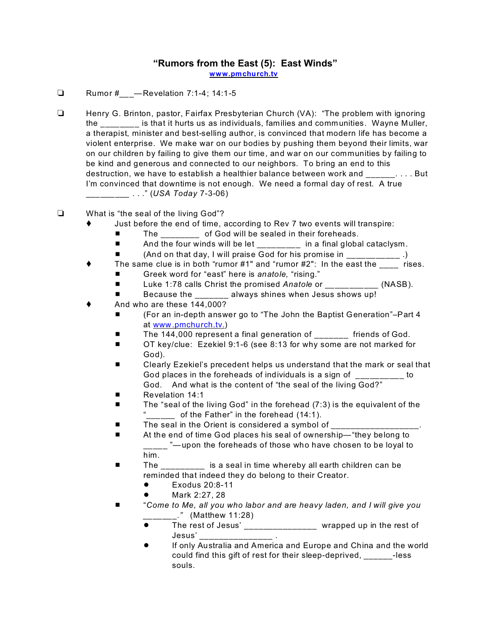## **"Rumors from the East (5): East Winds"**

**[www.pmchurch.tv](http://www.pmchurch.tv)**

- **E** Rumor # Revelation 7:1-4; 14:1-5
- Henry G. Brinton, pastor, Fairfax Presbyterian Church (VA): "The problem with ignoring the \_\_\_\_\_\_\_\_ is that it hurts us as individuals, families and communities. Wayne Muller, a therapist, minister and best-selling author, is convinced that modern life has become a violent enterprise. We make war on our bodies by pushing them beyond their limits, war on our children by failing to give them our time, and war on our communities by failing to be kind and generous and connected to our neighbors. To bring an end to this destruction, we have to establish a healthier balance between work and  $\ldots$ . . . . But I'm convinced that downtime is not enough. We need a formal day of rest. A true \_\_\_\_\_\_\_\_\_ . . ." (*USA Today* 7-3-06)
- What is "the seal of the living God"?
	- Just before the end of time, according to Rev 7 two events will transpire:
		- The of God will be sealed in their foreheads.
		- And the four winds will be let \_\_\_\_\_\_\_\_ in a final global cataclysm.
		- (And on that day, I will praise God for his promise in \_\_\_\_\_\_\_\_\_\_.)
	- The same clue is in both "rumor  $#1"$  and "rumor  $#2"$ : In the east the rises.
		- Greek word for "east" here is *anatole*, "rising."
		- Luke 1:78 calls Christ the promised *Anatole* or \_\_\_\_\_\_\_\_\_\_\_ (NASB).
		- Because the always shines when Jesus shows up!
	- And who are these 144,000?
		- (For an in-depth answer go to "The John the Baptist Generation"-Part 4 at [www.pmchurch.tv.](http://www.pmchurch.tv.)))
		- The 144,000 represent a final generation of Friends of God.
		- OT key/clue: Ezekiel 9:1-6 (see 8:13 for why some are not marked for God).
		- Clearly Ezekiel's precedent helps us understand that the mark or seal that God places in the foreheads of individuals is a sign of \_\_\_\_\_\_\_\_\_\_ to God. And what is the content of "the seal of the living God?"
		- **E** Revelation 14:1
		- $\blacksquare$  The "seal of the living God" in the forehead (7:3) is the equivalent of the "\_\_\_\_\_\_ of the Father" in the forehead (14:1).
		- The seal in the Orient is considered a symbol of
		- At the end of time God places his seal of ownership—"they belong to \_\_\_\_ "-upon the foreheads of those who have chosen to be loyal to him.
		- The is a seal in time whereby all earth children can be reminded that indeed they do belong to their Creator.
			- $\bullet$  Exodus 20:8-11
			- Mark 2:27, 28
		- **"** *Come to Me, all you who labor and are heavy laden, and I will give you \_\_\_\_\_\_\_."* (Matthew 11:28)
			- The rest of Jesus' \_\_\_\_\_\_\_\_\_\_\_\_\_\_ wrapped up in the rest of Jesus' \_\_\_\_\_\_\_\_\_\_\_\_\_\_\_ .
			- If only Australia and America and Europe and China and the world could find this gift of rest for their sleep-deprived, each less souls.